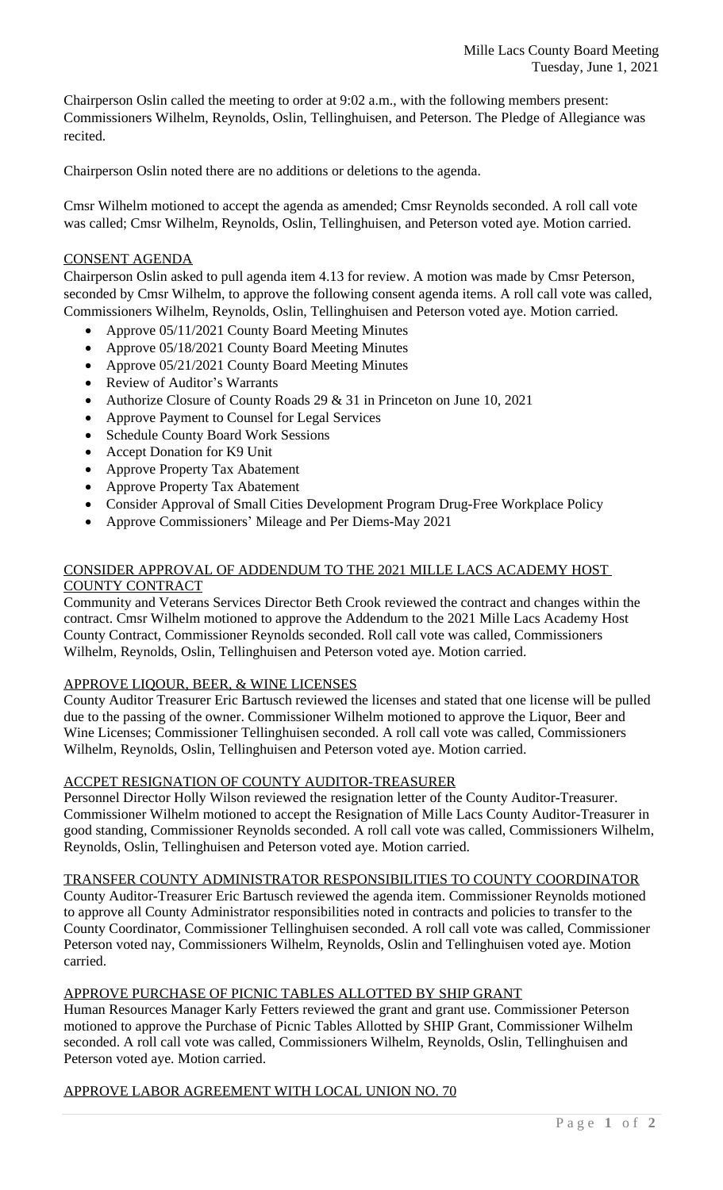Chairperson Oslin called the meeting to order at 9:02 a.m., with the following members present: Commissioners Wilhelm, Reynolds, Oslin, Tellinghuisen, and Peterson. The Pledge of Allegiance was recited.

Chairperson Oslin noted there are no additions or deletions to the agenda.

Cmsr Wilhelm motioned to accept the agenda as amended; Cmsr Reynolds seconded. A roll call vote was called; Cmsr Wilhelm, Reynolds, Oslin, Tellinghuisen, and Peterson voted aye. Motion carried.

#### CONSENT AGENDA

Chairperson Oslin asked to pull agenda item 4.13 for review. A motion was made by Cmsr Peterson, seconded by Cmsr Wilhelm, to approve the following consent agenda items. A roll call vote was called, Commissioners Wilhelm, Reynolds, Oslin, Tellinghuisen and Peterson voted aye. Motion carried.

- Approve 05/11/2021 County Board Meeting Minutes
- Approve 05/18/2021 County Board Meeting Minutes
- Approve 05/21/2021 County Board Meeting Minutes
- Review of Auditor's Warrants
- Authorize Closure of County Roads 29 & 31 in Princeton on June 10, 2021
- Approve Payment to Counsel for Legal Services
- Schedule County Board Work Sessions
- Accept Donation for K9 Unit
- Approve Property Tax Abatement
- Approve Property Tax Abatement
- Consider Approval of Small Cities Development Program Drug-Free Workplace Policy
- Approve Commissioners' Mileage and Per Diems-May 2021

### CONSIDER APPROVAL OF ADDENDUM TO THE 2021 MILLE LACS ACADEMY HOST COUNTY CONTRACT

Community and Veterans Services Director Beth Crook reviewed the contract and changes within the contract. Cmsr Wilhelm motioned to approve the Addendum to the 2021 Mille Lacs Academy Host County Contract, Commissioner Reynolds seconded. Roll call vote was called, Commissioners Wilhelm, Reynolds, Oslin, Tellinghuisen and Peterson voted aye. Motion carried.

# APPROVE LIQOUR, BEER, & WINE LICENSES

County Auditor Treasurer Eric Bartusch reviewed the licenses and stated that one license will be pulled due to the passing of the owner. Commissioner Wilhelm motioned to approve the Liquor, Beer and Wine Licenses; Commissioner Tellinghuisen seconded. A roll call vote was called, Commissioners Wilhelm, Reynolds, Oslin, Tellinghuisen and Peterson voted aye. Motion carried.

# ACCPET RESIGNATION OF COUNTY AUDITOR-TREASURER

Personnel Director Holly Wilson reviewed the resignation letter of the County Auditor-Treasurer. Commissioner Wilhelm motioned to accept the Resignation of Mille Lacs County Auditor-Treasurer in good standing, Commissioner Reynolds seconded. A roll call vote was called, Commissioners Wilhelm, Reynolds, Oslin, Tellinghuisen and Peterson voted aye. Motion carried.

TRANSFER COUNTY ADMINISTRATOR RESPONSIBILITIES TO COUNTY COORDINATOR

County Auditor-Treasurer Eric Bartusch reviewed the agenda item. Commissioner Reynolds motioned to approve all County Administrator responsibilities noted in contracts and policies to transfer to the County Coordinator, Commissioner Tellinghuisen seconded. A roll call vote was called, Commissioner Peterson voted nay, Commissioners Wilhelm, Reynolds, Oslin and Tellinghuisen voted aye. Motion carried.

#### APPROVE PURCHASE OF PICNIC TABLES ALLOTTED BY SHIP GRANT

Human Resources Manager Karly Fetters reviewed the grant and grant use. Commissioner Peterson motioned to approve the Purchase of Picnic Tables Allotted by SHIP Grant, Commissioner Wilhelm seconded. A roll call vote was called, Commissioners Wilhelm, Reynolds, Oslin, Tellinghuisen and Peterson voted aye. Motion carried.

# APPROVE LABOR AGREEMENT WITH LOCAL UNION NO. 70